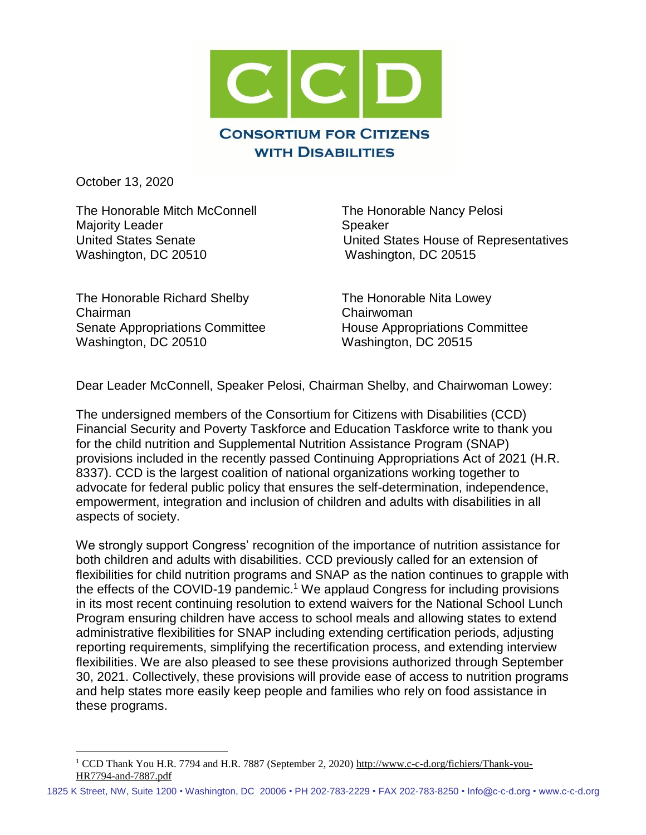

October 13, 2020

 $\overline{a}$ 

The Honorable Mitch McConnell The Honorable Nancy Pelosi Majority Leader Speaker Washington, DC 20510 Washington, DC 20515

United States Senate United States House of Representatives

The Honorable Richard Shelby The Honorable Nita Lowey Chairman Chairwoman Senate Appropriations Committee House Appropriations Committee Washington, DC 20510 Washington, DC 20515

Dear Leader McConnell, Speaker Pelosi, Chairman Shelby, and Chairwoman Lowey:

The undersigned members of the Consortium for Citizens with Disabilities (CCD) Financial Security and Poverty Taskforce and Education Taskforce write to thank you for the child nutrition and Supplemental Nutrition Assistance Program (SNAP) provisions included in the recently passed Continuing Appropriations Act of 2021 (H.R. 8337). CCD is the largest coalition of national organizations working together to advocate for federal public policy that ensures the self-determination, independence, empowerment, integration and inclusion of children and adults with disabilities in all aspects of society.

We strongly support Congress' recognition of the importance of nutrition assistance for both children and adults with disabilities. CCD previously called for an extension of flexibilities for child nutrition programs and SNAP as the nation continues to grapple with the effects of the COVID-19 pandemic.<sup>1</sup> We applaud Congress for including provisions in its most recent continuing resolution to extend waivers for the National School Lunch Program ensuring children have access to school meals and allowing states to extend administrative flexibilities for SNAP including extending certification periods, adjusting reporting requirements, simplifying the recertification process, and extending interview flexibilities. We are also pleased to see these provisions authorized through September 30, 2021. Collectively, these provisions will provide ease of access to nutrition programs and help states more easily keep people and families who rely on food assistance in these programs.

<sup>&</sup>lt;sup>1</sup> CCD Thank You H.R. 7794 and H.R. 7887 (September 2, 2020[\) http://www.c-c-d.org/fichiers/Thank-you-](http://www.c-c-d.org/fichiers/Thank-you-HR7794-and-7887.pdf)[HR7794-and-7887.pdf](http://www.c-c-d.org/fichiers/Thank-you-HR7794-and-7887.pdf)